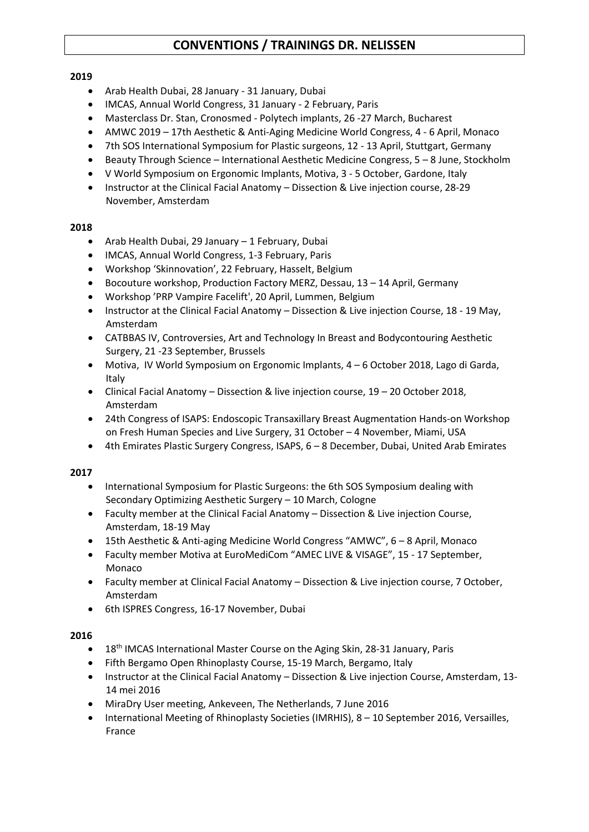## **2019**

- Arab Health Dubai, 28 January 31 January, Dubai
- IMCAS, Annual World Congress, 31 January 2 February, Paris
- Masterclass Dr. Stan, Cronosmed Polytech implants, 26 -27 March, Bucharest
- AMWC 2019 17th Aesthetic & Anti-Aging Medicine World Congress, 4 6 April, Monaco
- 7th SOS International Symposium for Plastic surgeons, 12 13 April, Stuttgart, Germany
- Beauty Through Science International Aesthetic Medicine Congress, 5 8 June, Stockholm
- V World Symposium on Ergonomic Implants, Motiva, 3 5 October, Gardone, Italy
- Instructor at the Clinical Facial Anatomy Dissection & Live injection course, 28-29 November, Amsterdam

## **2018**

- Arab Health Dubai, 29 January 1 February, Dubai
- IMCAS, Annual World Congress, 1-3 February, Paris
- Workshop 'Skinnovation', 22 February, Hasselt, Belgium
- Bocouture workshop, Production Factory MERZ, Dessau, 13 14 April, Germany
- Workshop 'PRP Vampire Facelift', 20 April, Lummen, Belgium
- Instructor at the Clinical Facial Anatomy Dissection & Live injection Course, 18 19 May, Amsterdam
- CATBBAS IV, Controversies, Art and Technology In Breast and Bodycontouring Aesthetic Surgery, 21 -23 September, Brussels
- Motiva, IV World Symposium on Ergonomic Implants, 4 6 October 2018, Lago di Garda, Italy
- Clinical Facial Anatomy Dissection & live injection course, 19 20 October 2018, Amsterdam
- [24th Congress of ISAPS:](https://www.isaps.org/event/24th-congress-isaps/) [Endoscopic Transaxillary Breast Augmentation Hands-on Workshop](https://www.isaps.org/event/endoscopic-transaxillary-breast-augmentation-hands-workshop-fresh-human-species-live-surgery/)  [on Fresh Human Species and Live Surgery,](https://www.isaps.org/event/endoscopic-transaxillary-breast-augmentation-hands-workshop-fresh-human-species-live-surgery/) 31 October – 4 November, [Miami,](https://10times.com/miami-us/conferences) [USA](https://10times.com/usa/conferences)
- [4th Emirates Plastic Surgery Congress,](https://www.isaps.org/event/4th-emirates-plastic-surgery-congress/) ISAPS, 6 8 December, Dubai, United Arab Emirates

# **2017**

- International Symposium for Plastic Surgeons: the 6th SOS Symposium dealing with Secondary Optimizing Aesthetic Surgery – 10 March, Cologne
- Faculty member at the Clinical Facial Anatomy Dissection & Live injection Course, Amsterdam, 18-19 May
- 15th Aesthetic & Anti-aging Medicine World Congress "AMWC", 6 8 April, Monaco
- Faculty member Motiva at EuroMediCom "AMEC LIVE & VISAGE", 15 17 September, Monaco
- Faculty member at Clinical Facial Anatomy Dissection & Live injection course, 7 October, Amsterdam
- 6th ISPRES Congress, 16-17 November, Dubai

- 18<sup>th</sup> IMCAS International Master Course on the Aging Skin, 28-31 January, Paris
- Fifth Bergamo Open Rhinoplasty Course, 15-19 March, Bergamo, Italy
- Instructor at the Clinical Facial Anatomy Dissection & Live injection Course, Amsterdam, 13- 14 mei 2016
- MiraDry User meeting, Ankeveen, The Netherlands, 7 June 2016
- International Meeting of Rhinoplasty Societies (IMRHIS), 8 10 September 2016, Versailles, France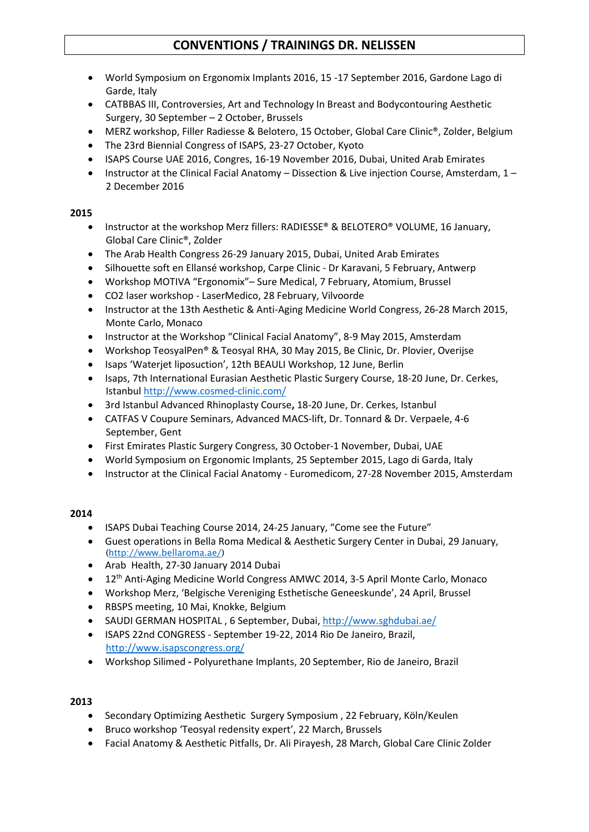- World Symposium on Ergonomix Implants 2016, 15 -17 September 2016, Gardone Lago di Garde, Italy
- CATBBAS III, Controversies, Art and Technology In Breast and Bodycontouring Aesthetic Surgery, 30 September – 2 October, Brussels
- MERZ workshop, Filler Radiesse & Belotero, 15 October, Global Care Clinic®, Zolder, Belgium
- The [23rd Biennial Congress of](http://www.isapscongress.org/) ISAPS, 23-27 October, Kyoto
- ISAPS Course UAE 2016, Congres, 16-19 November 2016, Dubai, United Arab Emirates
- Instructor at the Clinical Facial Anatomy Dissection & Live injection Course, Amsterdam, 1 2 December 2016

# **2015**

- Instructor at the workshop Merz fillers: RADIESSE® & BELOTERO® VOLUME, 16 January, Global Care Clinic®, Zolder
- The Arab Health Congress 26-29 January 2015, Dubai, United Arab Emirates
- Silhouette soft en Ellansé workshop, Carpe Clinic Dr Karavani, 5 February, Antwerp
- Workshop MOTIVA "Ergonomix"– Sure Medical, 7 February, Atomium, Brussel
- CO2 laser workshop LaserMedico, 28 February, Vilvoorde
- Instructor at the 13th Aesthetic & Anti-Aging Medicine World Congress, 26-28 March 2015, Monte Carlo, Monaco
- Instructor at the Workshop "Clinical Facial Anatomy", 8-9 May 2015, Amsterdam
- Workshop TeosyalPen® & Teosyal RHA, 30 May 2015, Be Clinic, Dr. Plovier, Overijse
- Isaps 'Waterjet liposuction', 12th BEAULI Workshop, 12 June, Berlin
- Isaps, [7th International Eurasian Aesthetic Plastic Surgery Course,](http://www.isaps.org/medical-professionals/courses/7th-international-eurasian-aesthetic-plastic-surgery-course) 18-20 June, Dr. Cerkes, Istanbul <http://www.cosmed-clinic.com/>
- 3rd Istanbul Advanced Rhinoplasty Course**,** 18-20 June, Dr. Cerkes, Istanbul
- CATFAS V Coupure Seminars, Advanced MACS-lift, Dr. Tonnard & Dr. Verpaele, 4-6 September, Gent
- First Emirates Plastic Surgery Congress, 30 October-1 November, Dubai, UAE
- World Symposium on Ergonomic Implants, 25 September 2015, Lago di Garda, Italy
- Instructor at the Clinical Facial Anatomy Euromedicom, 27-28 November 2015, Amsterdam

# **2014**

- ISAPS Dubai Teaching Course 2014, 24-25 January, "Come see the Future"
- Guest operations in Bella Roma Medical & Aesthetic Surgery Center in Dubai, 29 January, [\(http://www.bellaroma.ae/\)](http://www.bellaroma.ae/)
- Arab Health, 27-30 January 2014 Dubai
- 12<sup>th</sup> Anti-Aging Medicine World Congress AMWC 2014, 3-5 April Monte Carlo, Monaco
- Workshop Merz, 'Belgische Vereniging Esthetische Geneeskunde', 24 April, Brussel
- RBSPS meeting, 10 Mai, Knokke, Belgium
- SAUDI GERMAN HOSPITAL , 6 September, Dubai,<http://www.sghdubai.ae/>
- ISAPS 22nd CONGRESS September 19-22, 2014 Rio De Janeiro, Brazil, <http://www.isapscongress.org/>
- Workshop Silimed **-** Polyurethane Implants, 20 September, Rio de Janeiro, Brazil

- Secondary Optimizing Aesthetic Surgery Symposium , 22 February, Köln/Keulen
- Bruco workshop 'Teosyal redensity expert', 22 March, Brussels
- Facial Anatomy & Aesthetic Pitfalls, Dr. Ali Pirayesh, 28 March, Global Care Clinic Zolder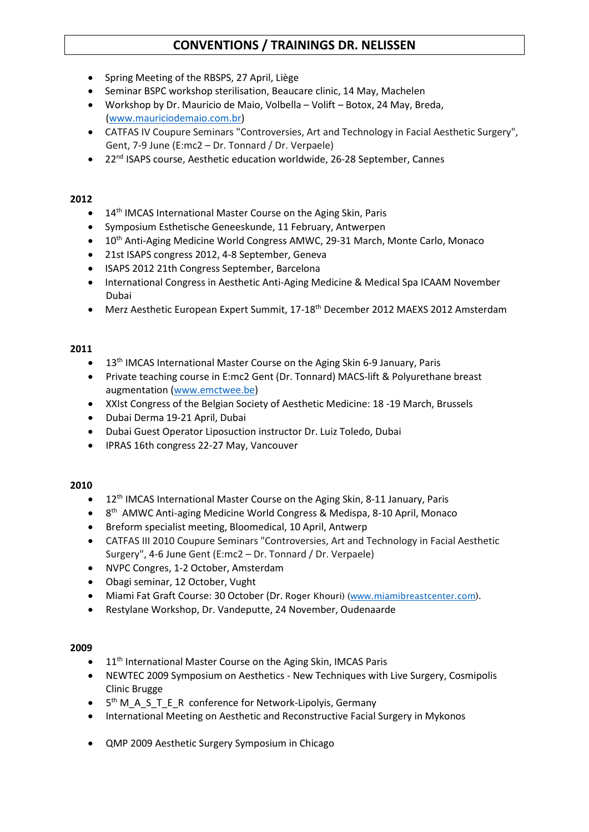- Spring Meeting of the RBSPS, 27 April, Liège
- Seminar BSPC workshop sterilisation, Beaucare clinic, 14 May, Machelen
- Workshop by Dr. Mauricio de Maio, Volbella Volift Botox, 24 May, Breda, [\(www.mauriciodemaio.com.br\)](http://www.mauriciodemaio.com.br/)
- CATFAS IV Coupure Seminars "Controversies, Art and Technology in Facial Aesthetic Surgery", Gent, 7-9 June (E:mc2 – Dr. Tonnard / Dr. Verpaele)
- 22<sup>nd</sup> ISAPS course, Aesthetic education worldwide, 26-28 September, Cannes

## **2012**

- 14<sup>th</sup> IMCAS International Master Course on the Aging Skin, Paris
- Symposium Esthetische Geneeskunde, 11 February, Antwerpen
- 10<sup>th</sup> Anti-Aging Medicine World Congress AMWC, 29-31 March, Monte Carlo, Monaco
- 21st ISAPS congress 2012, 4-8 September, Geneva
- ISAPS 2012 21th Congress September, Barcelona
- International Congress in Aesthetic Anti-Aging Medicine & Medical Spa ICAAM November Dubai
- Merz Aesthetic European Expert Summit, 17-18<sup>th</sup> December 2012 MAEXS 2012 Amsterdam

## **2011**

- 13<sup>th</sup> IMCAS International Master Course on the Aging Skin 6-9 January, Paris
- Private teaching course in E:mc2 Gent (Dr. Tonnard) MACS-lift & Polyurethane breast augmentation [\(www.emctwee.be\)](http://www.emctwee.be/)
- XXIst Congress of the Belgian Society of Aesthetic Medicine: 18 -19 March, Brussels
- Dubai Derma 19-21 April, Dubai
- Dubai Guest Operator Liposuction instructor Dr. Luiz Toledo, Dubai
- IPRAS 16th congress 22-27 May, Vancouver

#### **2010**

- 12<sup>th</sup> IMCAS International Master Course on the Aging Skin, 8-11 January, Paris
- 8<sup>th</sup> AMWC Anti-aging Medicine World Congress & Medispa, 8-10 April, Monaco
- Breform specialist meeting, Bloomedical, 10 April, Antwerp
- CATFAS III 2010 Coupure Seminars "Controversies, Art and Technology in Facial Aesthetic Surgery", 4-6 June Gent (E:mc2 – Dr. Tonnard / Dr. Verpaele)
- NVPC Congres, 1-2 October, Amsterdam
- Obagi seminar, 12 October, Vught
- Miami Fat Graft Course: 30 October (Dr. Roger Khouri) [\(www.miamibreastcenter.com\)](http://www.miamibreastcenter.com/).
- Restylane Workshop, Dr. Vandeputte, 24 November, Oudenaarde

- 11<sup>th</sup> International Master Course on the Aging Skin, IMCAS Paris
- NEWTEC 2009 Symposium on Aesthetics New Techniques with Live Surgery, Cosmipolis Clinic Brugge
- 5<sup>th</sup> M\_A\_S\_T\_E\_R conference for Network-Lipolyis, Germany
- International Meeting on Aesthetic and Reconstructive Facial Surgery in Mykonos
- QMP 2009 Aesthetic Surgery Symposium in Chicago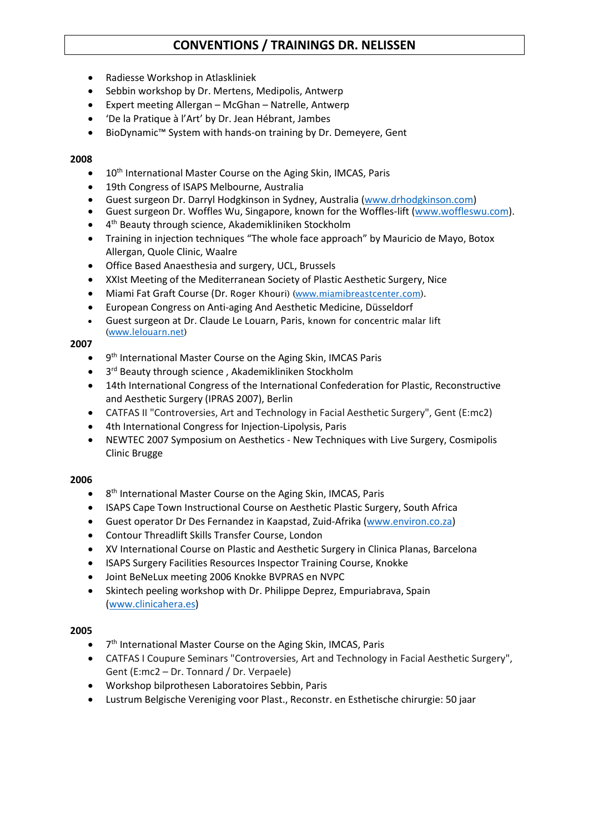- Radiesse Workshop in Atlaskliniek
- Sebbin workshop by Dr. Mertens, Medipolis, Antwerp
- Expert meeting Allergan McGhan Natrelle, Antwerp
- 'De la Pratique à l'Art' by Dr. Jean Hébrant, Jambes
- BioDynamic™ System with hands-on training by Dr. Demeyere, Gent

## **2008**

- $\bullet$  10<sup>th</sup> International Master Course on the Aging Skin, IMCAS, Paris
- 19th Congress of ISAPS Melbourne, Australia
- Guest surgeon Dr. Darryl Hodgkinson in Sydney, Australia [\(www.drhodgkinson.com\)](http://www.drhodgkinson.com/)
- Guest surgeon Dr. Woffles Wu, Singapore, known for the Woffles-lift [\(www.woffleswu.com\)](http://www.woffleswu.com/).
- 4<sup>th</sup> Beauty through science, Akademikliniken Stockholm
- Training in injection techniques "The whole face approach" by Mauricio de Mayo, Botox Allergan, Quole Clinic, Waalre
- Office Based Anaesthesia and surgery, UCL, Brussels
- XXIst Meeting of the Mediterranean Society of Plastic Aesthetic Surgery, Nice
- Miami Fat Graft Course (Dr. Roger Khouri) [\(www.miamibreastcenter.com\)](http://www.miamibreastcenter.com/).
- European Congress on Anti-aging And Aesthetic Medicine, Düsseldorf
- Guest surgeon at Dr. Claude Le Louarn, Paris, known for concentric malar lift [\(www.lelouarn.net\)](http://www.lelouarn.net/)

## **2007**

- 9<sup>th</sup> International Master Course on the Aging Skin, IMCAS Paris
- 3<sup>rd</sup> Beauty through science, Akademikliniken Stockholm
- 14th International Congress of the International Confederation for Plastic, Reconstructive and Aesthetic Surgery (IPRAS 2007), Berlin
- CATFAS II "Controversies, Art and Technology in Facial Aesthetic Surgery", Gent (E:mc2)
- 4th International Congress for Injection-Lipolysis, Paris
- NEWTEC 2007 Symposium on Aesthetics New Techniques with Live Surgery, Cosmipolis Clinic Brugge

#### **2006**

- 8<sup>th</sup> International Master Course on the Aging Skin, IMCAS, Paris
- ISAPS Cape Town Instructional Course on Aesthetic Plastic Surgery, South Africa
- Guest operator Dr Des Fernandez in Kaapstad, Zuid-Afrika [\(www.environ.co.za\)](http://www.environ.co.za/)
- Contour Threadlift Skills Transfer Course, London
- XV International Course on Plastic and Aesthetic Surgery in Clinica Planas, Barcelona
- ISAPS Surgery Facilities Resources Inspector Training Course, Knokke
- Joint BeNeLux meeting 2006 Knokke BVPRAS en NVPC
- Skintech peeling workshop with Dr. Philippe Deprez, Empuriabrava, Spain [\(www.clinicahera.es\)](http://www.clinicahera.es/)

- 7<sup>th</sup> International Master Course on the Aging Skin, IMCAS, Paris
- CATFAS I Coupure Seminars "Controversies, Art and Technology in Facial Aesthetic Surgery", Gent (E:mc2 – Dr. Tonnard / Dr. Verpaele)
- Workshop bilprothesen Laboratoires Sebbin, Paris
- Lustrum Belgische Vereniging voor Plast., Reconstr. en Esthetische chirurgie: 50 jaar